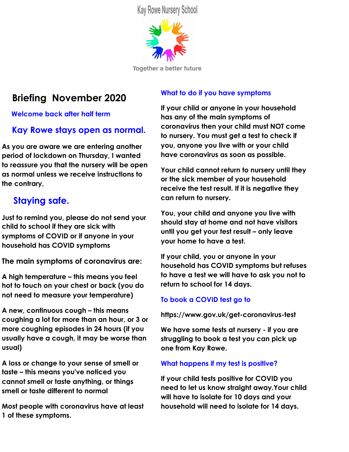**Kay Rowe Nursery School** 



**Together a better future** 

# **Briefing November 2020**

 **Welcome back after half term**

# **Kay Rowe stays open as normal.**

**As you are aware we are entering another period of lockdown on Thursday, I wanted to reassure you that the nursery will be open as normal unless we receive instructions to the contrary,**

# **Staying safe.**

**Just to remind you, please do not send your child to school if they are sick with symptoms of COVID or if anyone in your household has COVID symptoms**

**The main symptoms of coronavirus are:**

**A high temperature – this means you feel hot to touch on your chest or back (you do not need to measure your temperature)**

**A new, continuous cough – this means coughing a lot for more than an hour, or 3 or more coughing episodes in 24 hours (if you usually have a cough, it may be worse than usual)**

**A loss or change to your sense of smell or taste – this means you've noticed you cannot smell or taste anything, or things smell or taste different to normal**

**Most people with coronavirus have at least 1 of these symptoms.**

### **What to do if you have symptoms**

**If your child or anyone in your household has any of the main symptoms of coronavirus then your child must NOT come to nursery. You must get a test to check if you, anyone you live with or your child have coronavirus as soon as possible.**

**Your child cannot return to nursery until they or the sick member of your household receive the test result. If it is negative they can return to nursery.**

**You, your child and anyone you live with should stay at home and not have visitors until you get your test result – only leave your home to have a test.**

**If your child, you or anyone in your household has COVID symptoms but refuses to have a test we will have to ask you not to return to school for 14 days.**

#### **To book a COVID test go to**

**https://www.gov.uk/get-coronavirus-test**

**We have some tests at nursery - if you are struggling to book a test you can pick up one from Kay Rowe.**

#### **What happens if my test is positive?**

**If your child tests positive for COVID you need to let us know straight away.Your child will have to isolate for 10 days and your household will need to isolate for 14 days.**